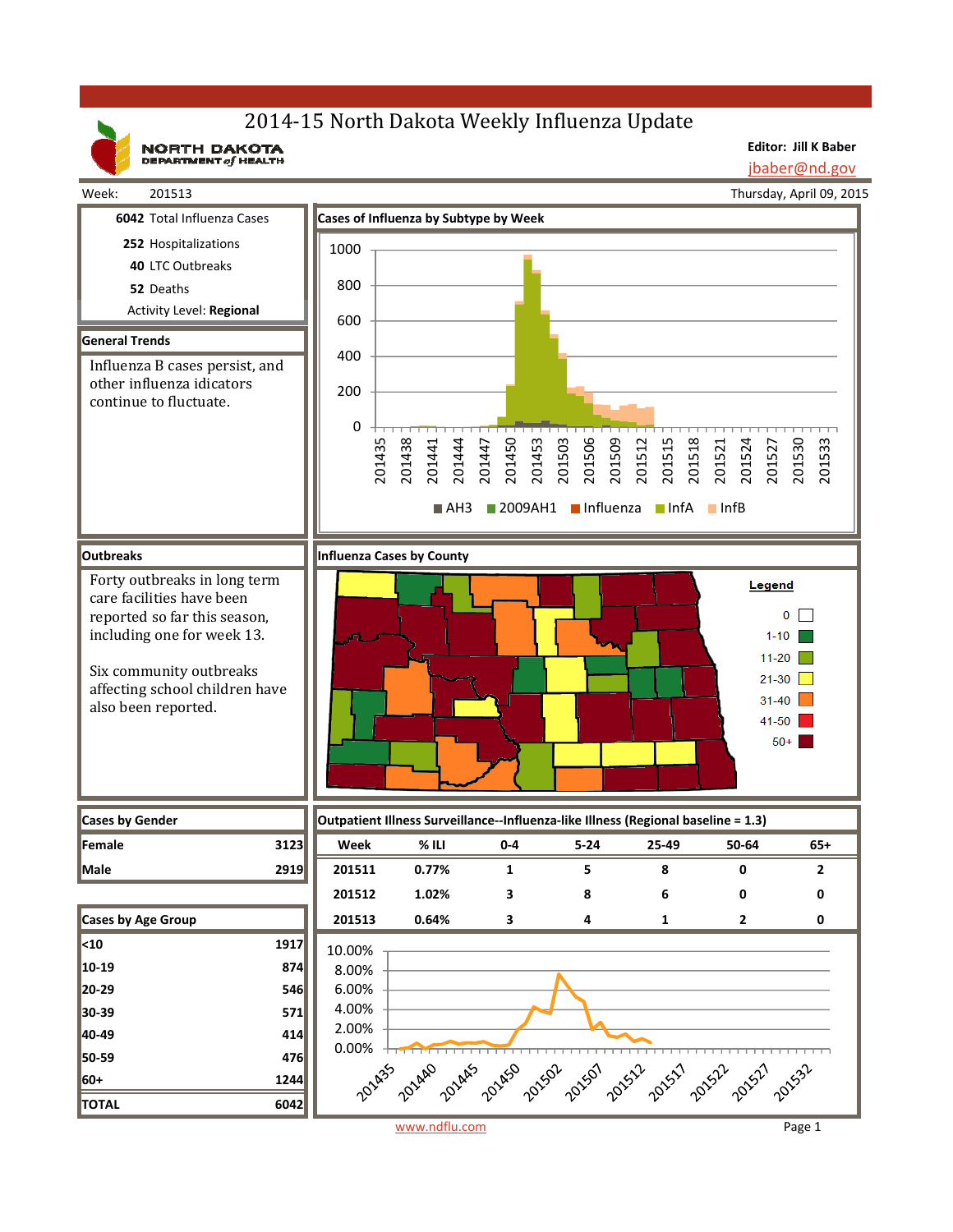# 2014-15 North Dakota Weekly Influenza Update

NORTH DAKOTA

**Editor: Jill K Baber** jbaber@nd.gov

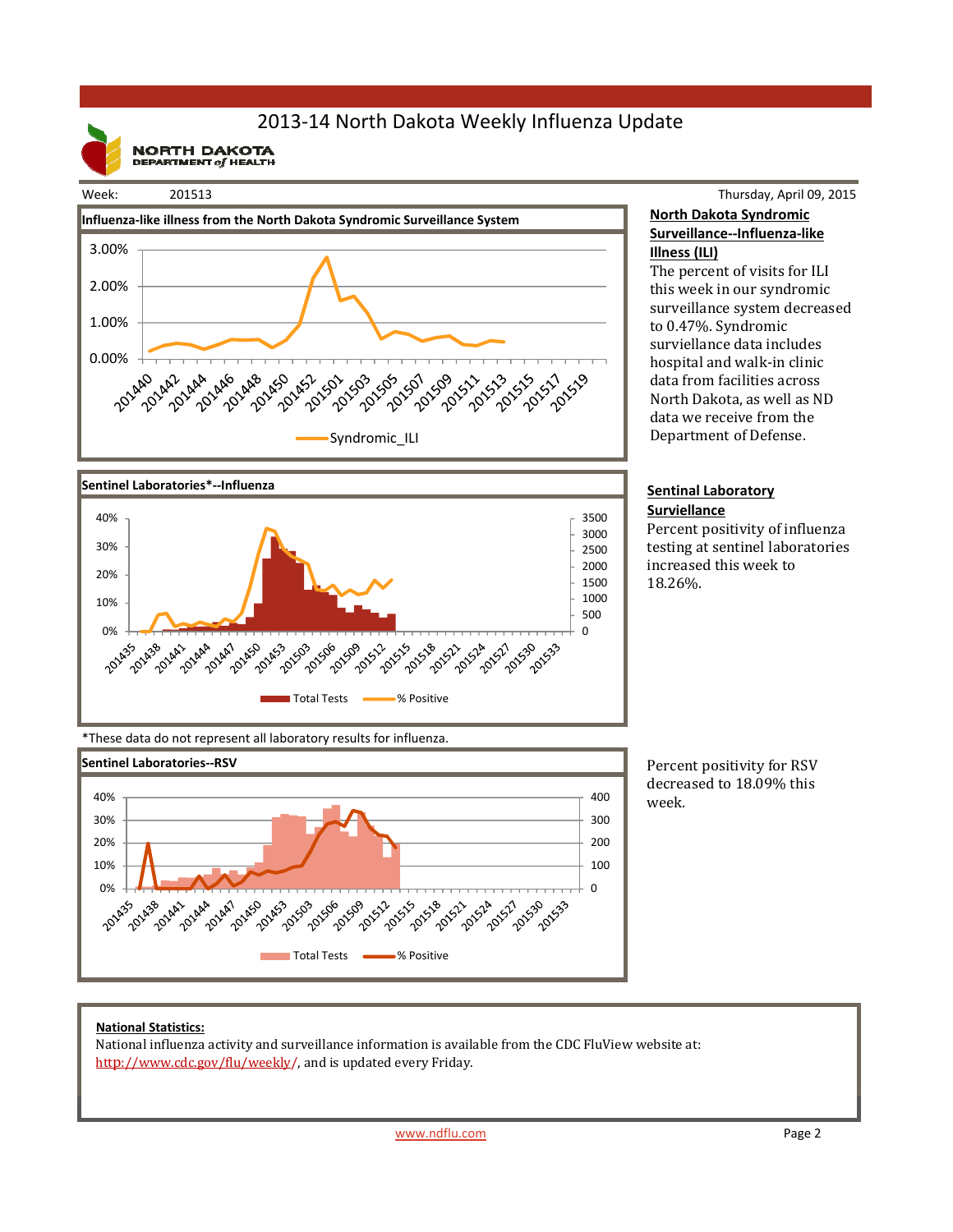# 2013‐14 North Dakota Weekly Influenza Update

**NORTH DAKOTA**<br>DEPARTMENT of HEALTH

### Week: 201513





### Thursday, April 09, 2015 **North Dakota Syndromic Surveillance‐‐Influenza‐like Illness (ILI)**

The percent of visits for ILI this week in our syndromic surveillance system decreased to 0.47%. Syndromic surviellance data includes hospital and walk-in clinic data from facilities across North Dakota, as well as ND data we receive from the Department of Defense.

#### **Sentinal Laboratory Surviellance**

Percent positivity of influenza testing at sentinel laboratories increased this week to 18.26%. 

\*These data do not represent all laboratory results for influenza.



Percent positivity for RSV decreased to 18.09% this week.

### **National Statistics:**

National influenza activity and surveillance information is available from the CDC FluView website at: http://www.cdc.gov/flu/weekly/, and is updated every Friday.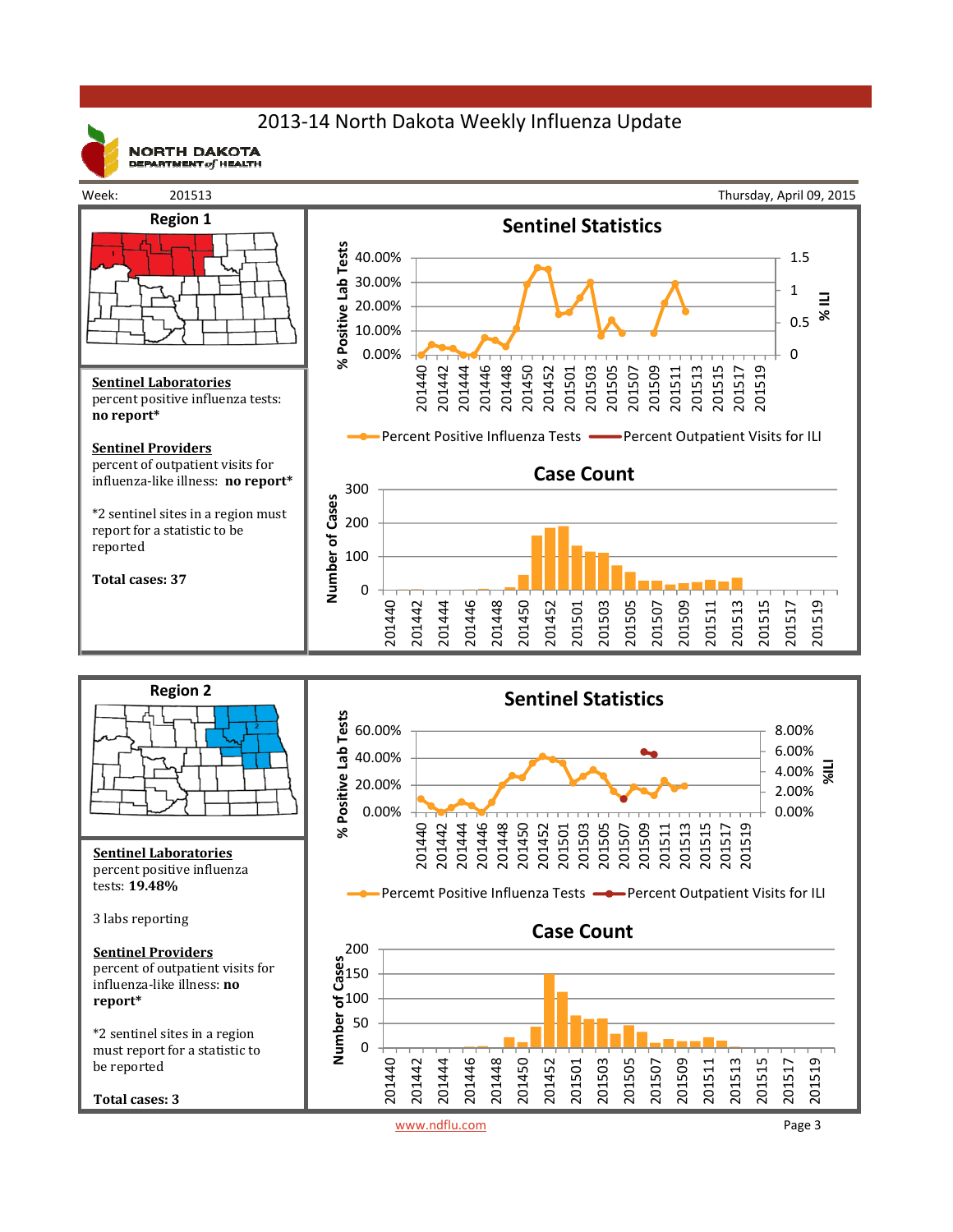# 2013‐14 North Dakota Weekly Influenza Update



**NORTH DAKOTA** DEPARTMENT  $of$  HEALTH